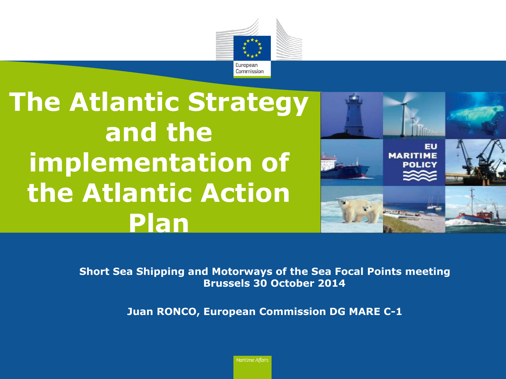

# **The Atlantic Strategy and the implementation of the Atlantic Action Plan**



**Short Sea Shipping and Motorways of the Sea Focal Points meeting Brussels 30 October 2014**

**Juan RONCO, European Commission DG MARE C-1**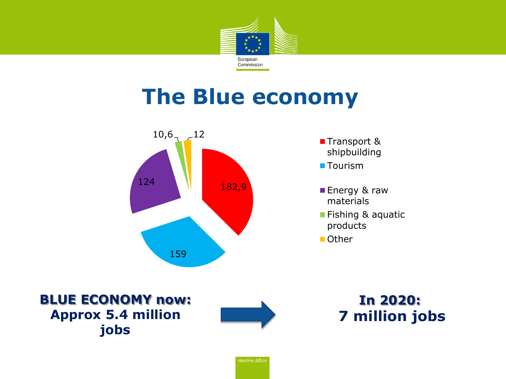

## **The Blue economy**



■Transport & shipbuilding

**Tourism** 

- **Energy & raw** materials
- **Fishing & aquatic** products

■ Other

**BLUE ECONOMY now: Approx 5.4 million jobs** 

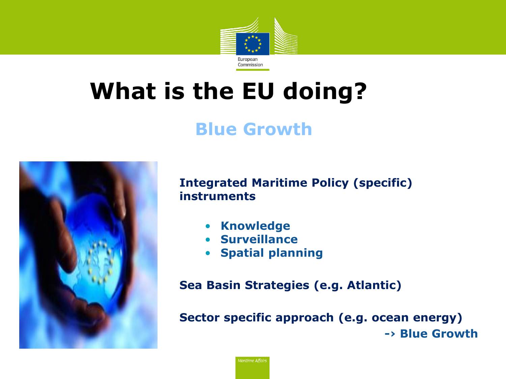

# **What is the EU doing?**

### **Blue Growth**



### **Integrated Maritime Policy (specific) instruments**

- **Knowledge**
- **Surveillance**
- **Spatial planning**

**Sea Basin Strategies (e.g. Atlantic)**

**Sector specific approach (e.g. ocean energy) -› Blue Growth**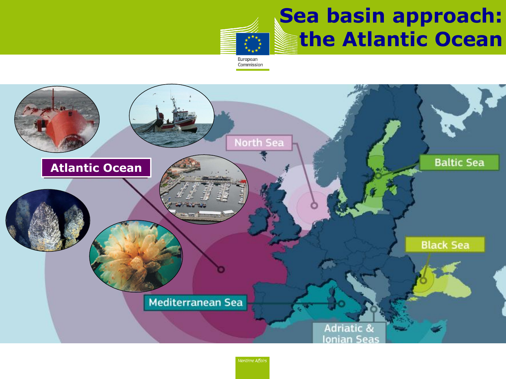

## **Sea basin approach: the Atlantic Ocean**

Commission

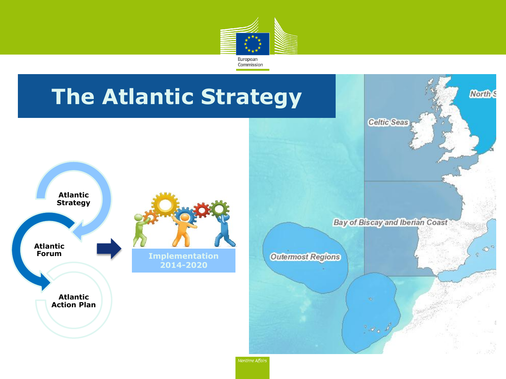

## **The Atlantic Strategy**





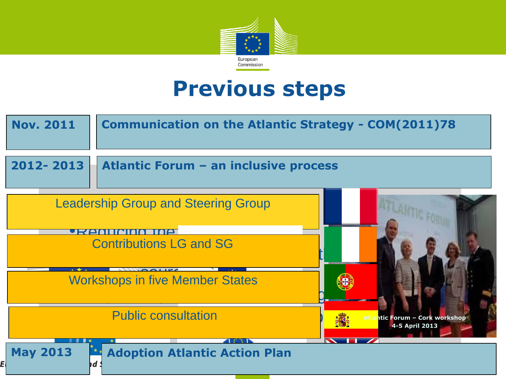

## **Previous steps**

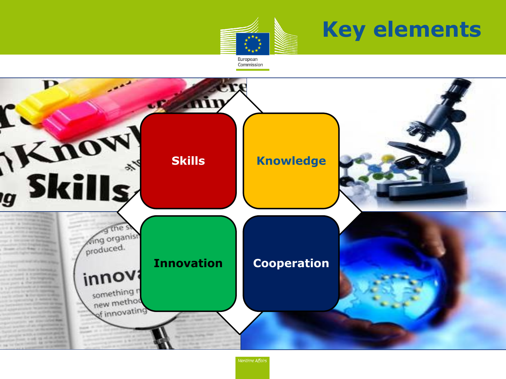# **Key elements**



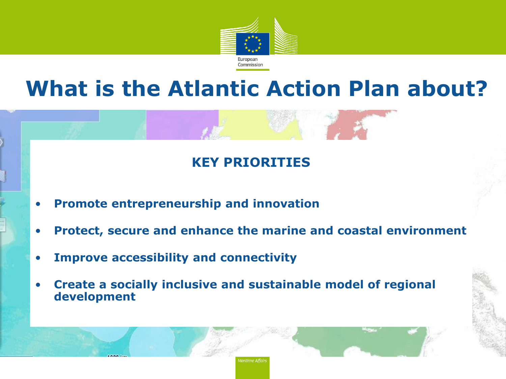

## **What is the Atlantic Action Plan about?**

#### **Enhance cooperation KEY PRIORITIES**

- **Promote entrepreneurship and innovation**
- **Protect, secure and enhance the marine and coastal environment**

- **Improve accessibility and connectivity**
- **Example 2018 <b>provide**<br> **Four example 2019** • **Create a socially inclusive and sustainable model of regional development**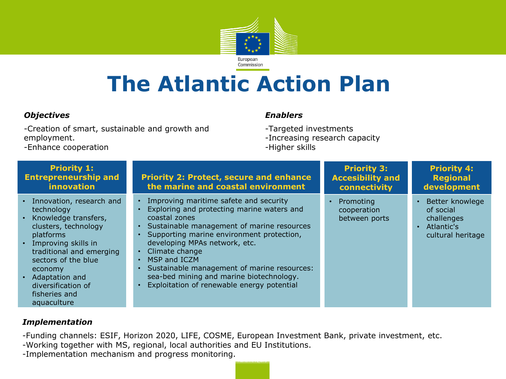

## **The Atlantic Action Plan**

#### *Objectives*

-Creation of smart, sustainable and growth and employment.

#### *Enablers*

-Targeted investments

- -Increasing research capacity
- -Higher skills

|  | -Enhance cooperation |
|--|----------------------|
|--|----------------------|

| <b>Priority 1:</b><br><b>Entrepreneurship and</b><br>innovation                                                                                                                                                                                                                                | <b>Priority 2: Protect, secure and enhance</b><br>the marine and coastal environment                                                                                                                                                                                                                                                                                                                                     | <b>Priority 3:</b><br><b>Accesibility and</b><br>connectivity | <b>Priority 4:</b><br><b>Regional</b><br>development                          |
|------------------------------------------------------------------------------------------------------------------------------------------------------------------------------------------------------------------------------------------------------------------------------------------------|--------------------------------------------------------------------------------------------------------------------------------------------------------------------------------------------------------------------------------------------------------------------------------------------------------------------------------------------------------------------------------------------------------------------------|---------------------------------------------------------------|-------------------------------------------------------------------------------|
| • Innovation, research and<br>technology<br>Knowledge transfers,<br>$\bullet$<br>clusters, technology<br>platforms<br>• Improving skills in<br>traditional and emerging<br>sectors of the blue<br>economy<br>Adaptation and<br>$\bullet$<br>diversification of<br>fisheries and<br>aquaculture | • Improving maritime safete and security<br>Exploring and protecting marine waters and<br>coastal zones<br>• Sustainable management of marine resources<br>Supporting marine environment protection,<br>developing MPAs network, etc.<br>Climate change<br>$\cdot$ MSP and ICZM<br>Sustainable management of marine resources:<br>sea-bed mining and marine biotechnology.<br>Exploitation of renewable energy potential | Promoting<br>cooperation<br>between ports                     | Better knowlege<br>of social<br>challenges<br>Atlantic's<br>cultural heritage |

#### *Implementation*

-Funding channels: ESIF, Horizon 2020, LIFE, COSME, European Investment Bank, private investment, etc.

-Working together with MS, regional, local authorities and EU Institutions.

-Implementation mechanism and progress monitoring.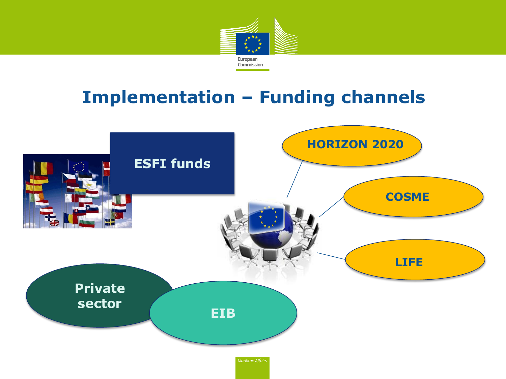

### **Implementation – Funding channels**

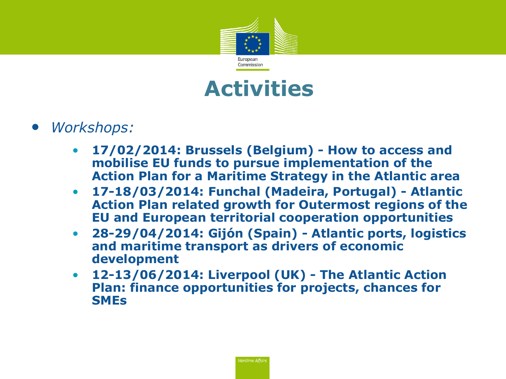



- *Workshops:*
	- **17/02/2014: Brussels (Belgium) - How to access and mobilise EU funds to pursue implementation of the Action Plan for a Maritime Strategy in the Atlantic area**
	- **17-18/03/2014: Funchal (Madeira, Portugal) - Atlantic Action Plan related growth for Outermost regions of the EU and European territorial cooperation opportunities**
	- **28-29/04/2014: Gijón (Spain) - Atlantic ports, logistics and maritime transport as drivers of economic development**
	- **12-13/06/2014: Liverpool (UK) - The Atlantic Action Plan: finance opportunities for projects, chances for SMEs**

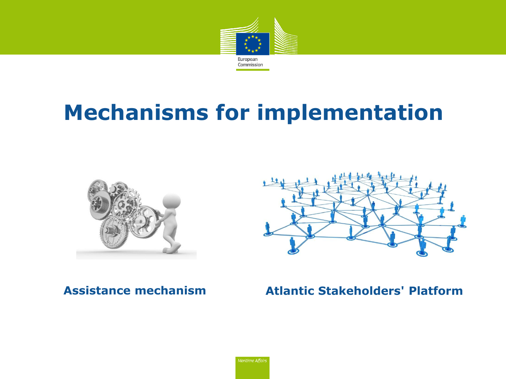

## **Mechanisms for implementation**





### **Assistance mechanism Atlantic Stakeholders' Platform**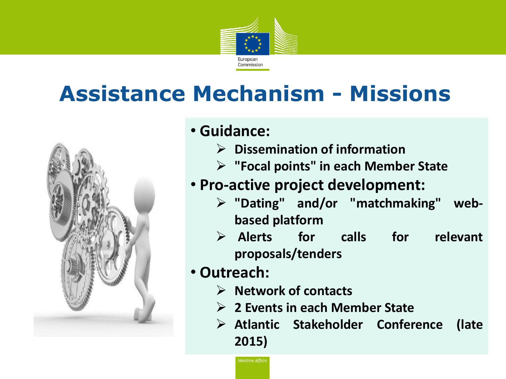

# **Assistance Mechanism - Missions**



### • **Guidance:**

- **Dissemination of information**
- **"Focal points" in each Member State**

### • **Pro-active project development:**

- **"Dating" and/or "matchmaking" webbased platform**
- **Alerts for calls for relevant proposals/tenders**

### • **Outreach:**

- **Network of contacts**
- **2 Events in each Member State**
- **Atlantic Stakeholder Conference (late 2015)**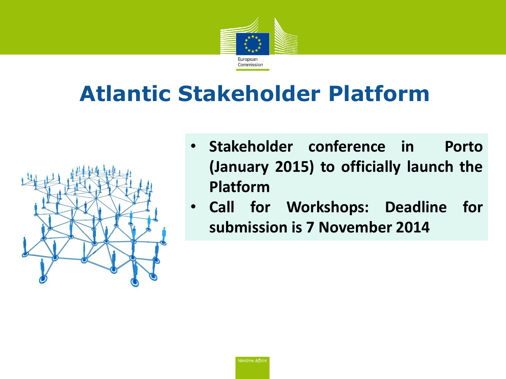

# **Atlantic Stakeholder Platform**



- **Stakeholder conference in Porto (January 2015) to officially launch the Platform**
- **Call for Workshops: Deadline for submission is 7 November 2014**